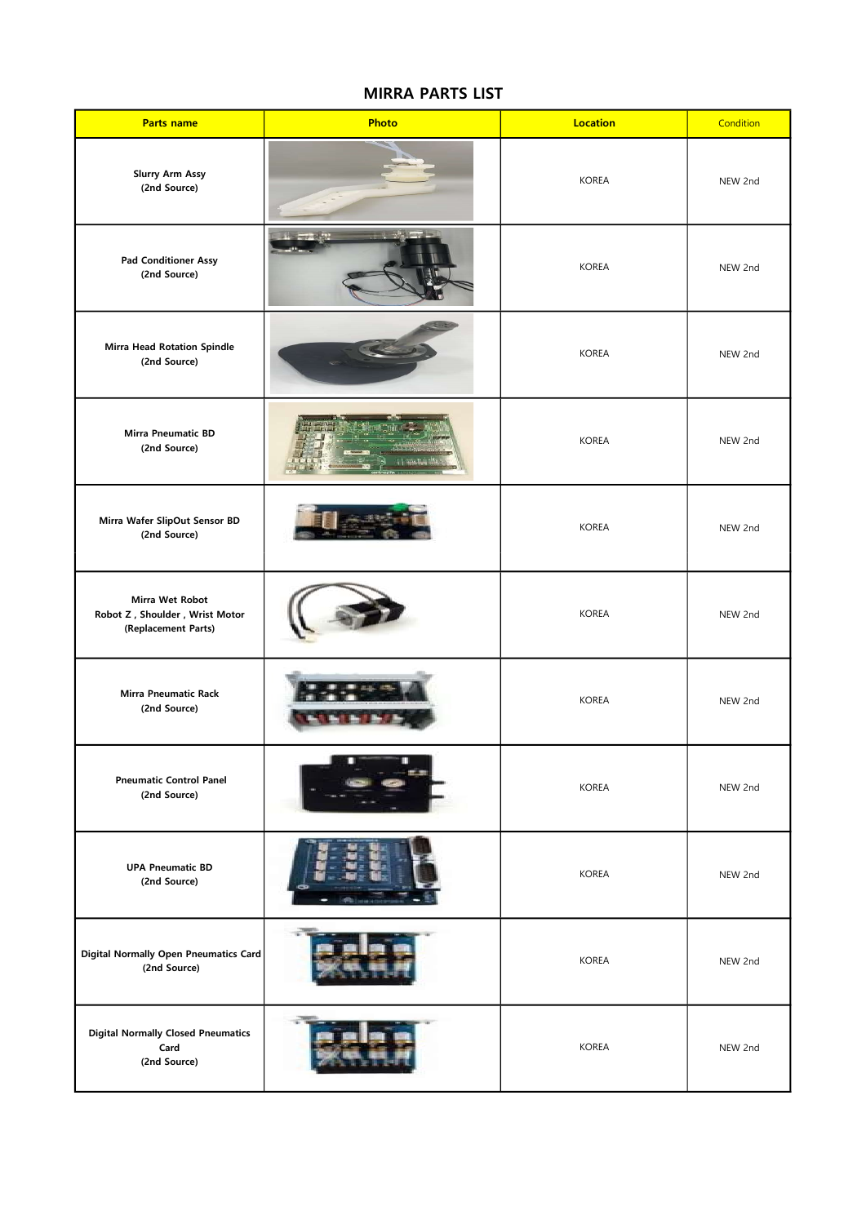## MIRRA PARTS LIST

| <b>Parts name</b>                                                        | Photo | <b>Location</b> | Condition |
|--------------------------------------------------------------------------|-------|-----------------|-----------|
| <b>Slurry Arm Assy</b><br>(2nd Source)                                   |       | <b>KOREA</b>    | NEW 2nd   |
| <b>Pad Conditioner Assy</b><br>(2nd Source)                              |       | <b>KOREA</b>    | NEW 2nd   |
| <b>Mirra Head Rotation Spindle</b><br>(2nd Source)                       |       | <b>KOREA</b>    | NEW 2nd   |
| Mirra Pneumatic BD<br>(2nd Source)                                       |       | <b>KOREA</b>    | NEW 2nd   |
| Mirra Wafer SlipOut Sensor BD<br>(2nd Source)                            |       | <b>KOREA</b>    | NEW 2nd   |
| Mirra Wet Robot<br>Robot Z, Shoulder, Wrist Motor<br>(Replacement Parts) |       | <b>KOREA</b>    | NEW 2nd   |
| <b>Mirra Pneumatic Rack</b><br>(2nd Source)                              |       | <b>KOREA</b>    | NEW 2nd   |
| <b>Pneumatic Control Panel</b><br>(2nd Source)                           |       | <b>KOREA</b>    | NEW 2nd   |
| <b>UPA Pneumatic BD</b><br>(2nd Source)                                  |       | <b>KOREA</b>    | NEW 2nd   |
| <b>Digital Normally Open Pneumatics Card</b><br>(2nd Source)             |       | <b>KOREA</b>    | NEW 2nd   |
| <b>Digital Normally Closed Pneumatics</b><br>Card<br>(2nd Source)        |       | <b>KOREA</b>    | NEW 2nd   |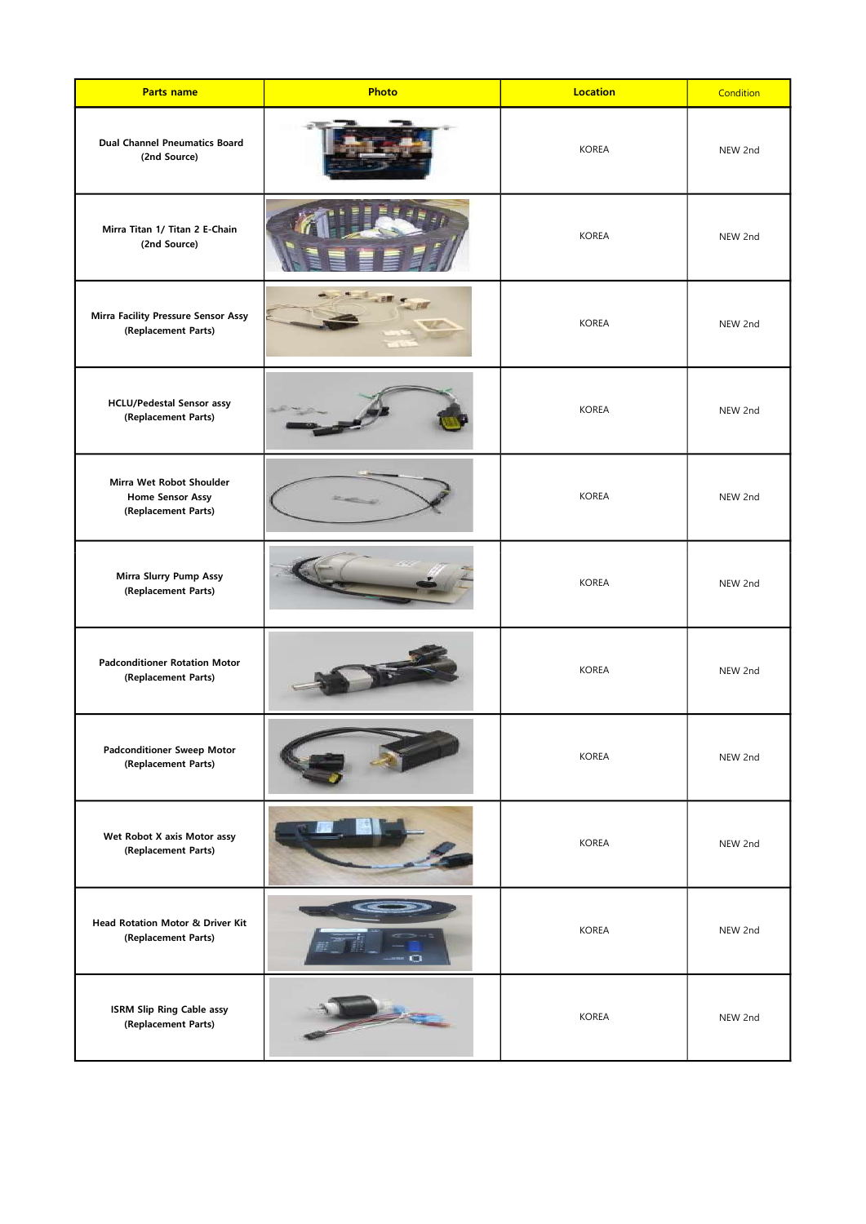| <b>Parts name</b>                                                          | Photo | <b>Location</b> | Condition |
|----------------------------------------------------------------------------|-------|-----------------|-----------|
| <b>Dual Channel Pneumatics Board</b><br>(2nd Source)                       |       | <b>KOREA</b>    | NEW 2nd   |
| Mirra Titan 1/ Titan 2 E-Chain<br>(2nd Source)                             |       | <b>KOREA</b>    | NEW 2nd   |
| Mirra Facility Pressure Sensor Assy<br>(Replacement Parts)                 |       | <b>KOREA</b>    | NEW 2nd   |
| <b>HCLU/Pedestal Sensor assy</b><br>(Replacement Parts)                    |       | <b>KOREA</b>    | NEW 2nd   |
| Mirra Wet Robot Shoulder<br><b>Home Sensor Assy</b><br>(Replacement Parts) |       | <b>KOREA</b>    | NEW 2nd   |
| Mirra Slurry Pump Assy<br>(Replacement Parts)                              |       | <b>KOREA</b>    | NEW 2nd   |
| <b>Padconditioner Rotation Motor</b><br>(Replacement Parts)                |       | <b>KOREA</b>    | NEW 2nd   |
| <b>Padconditioner Sweep Motor</b><br>(Replacement Parts)                   |       | <b>KOREA</b>    | NEW 2nd   |
| Wet Robot X axis Motor assy<br>(Replacement Parts)                         |       | <b>KOREA</b>    | NEW 2nd   |
| Head Rotation Motor & Driver Kit<br>(Replacement Parts)                    |       | <b>KOREA</b>    | NEW 2nd   |
| <b>ISRM Slip Ring Cable assy</b><br>(Replacement Parts)                    |       | <b>KOREA</b>    | NEW 2nd   |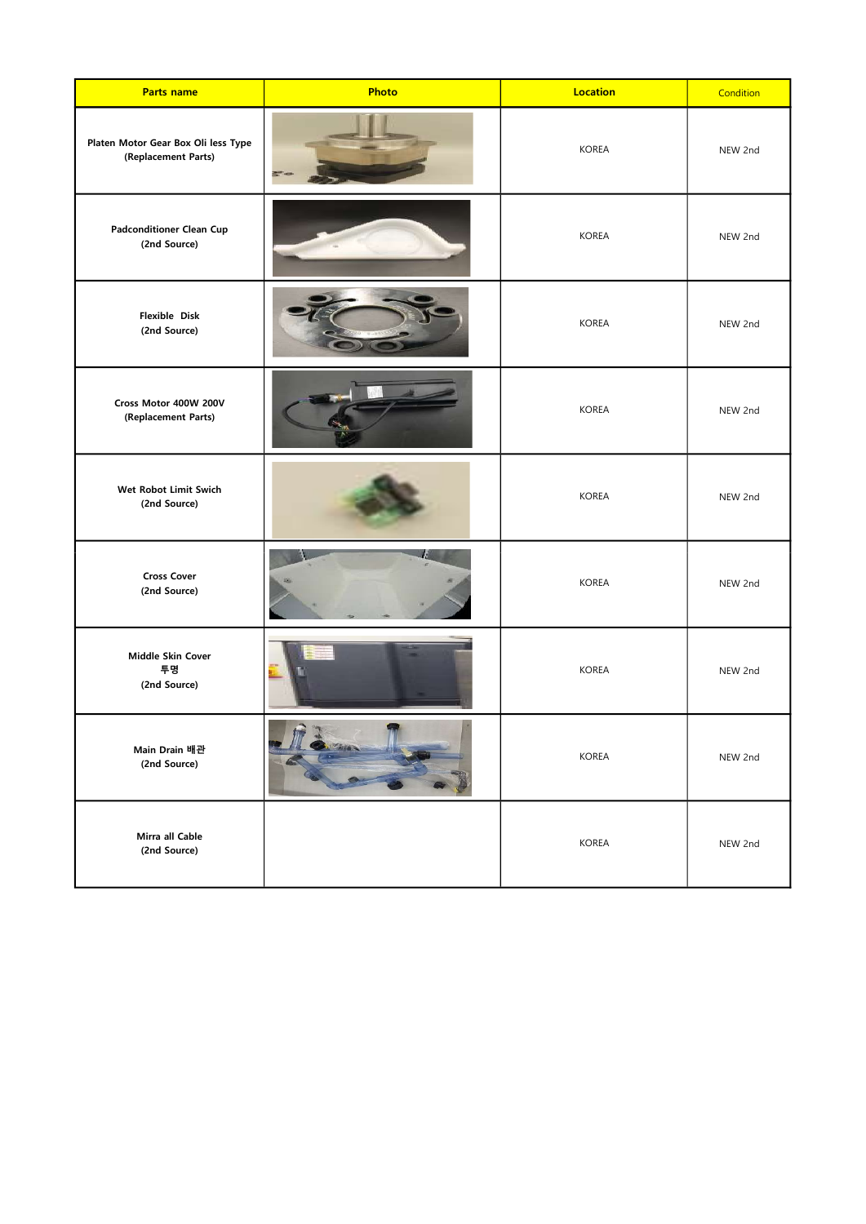| <b>Parts name</b>                                          | Photo | <b>Location</b> | Condition |
|------------------------------------------------------------|-------|-----------------|-----------|
| Platen Motor Gear Box Oli less Type<br>(Replacement Parts) |       | <b>KOREA</b>    | NEW 2nd   |
| <b>Padconditioner Clean Cup</b><br>(2nd Source)            |       | <b>KOREA</b>    | NEW 2nd   |
| Flexible Disk<br>(2nd Source)                              |       | <b>KOREA</b>    | NEW 2nd   |
| Cross Motor 400W 200V<br>(Replacement Parts)               |       | <b>KOREA</b>    | NEW 2nd   |
| Wet Robot Limit Swich<br>(2nd Source)                      |       | <b>KOREA</b>    | NEW 2nd   |
| <b>Cross Cover</b><br>(2nd Source)                         |       | <b>KOREA</b>    | NEW 2nd   |
| Middle Skin Cover<br>투명<br>(2nd Source)                    |       | <b>KOREA</b>    | NEW 2nd   |
| Main Drain 배관<br>(2nd Source)                              | 2x    | KOREA           | NEW 2nd   |
| Mirra all Cable<br>(2nd Source)                            |       | <b>KOREA</b>    | NEW 2nd   |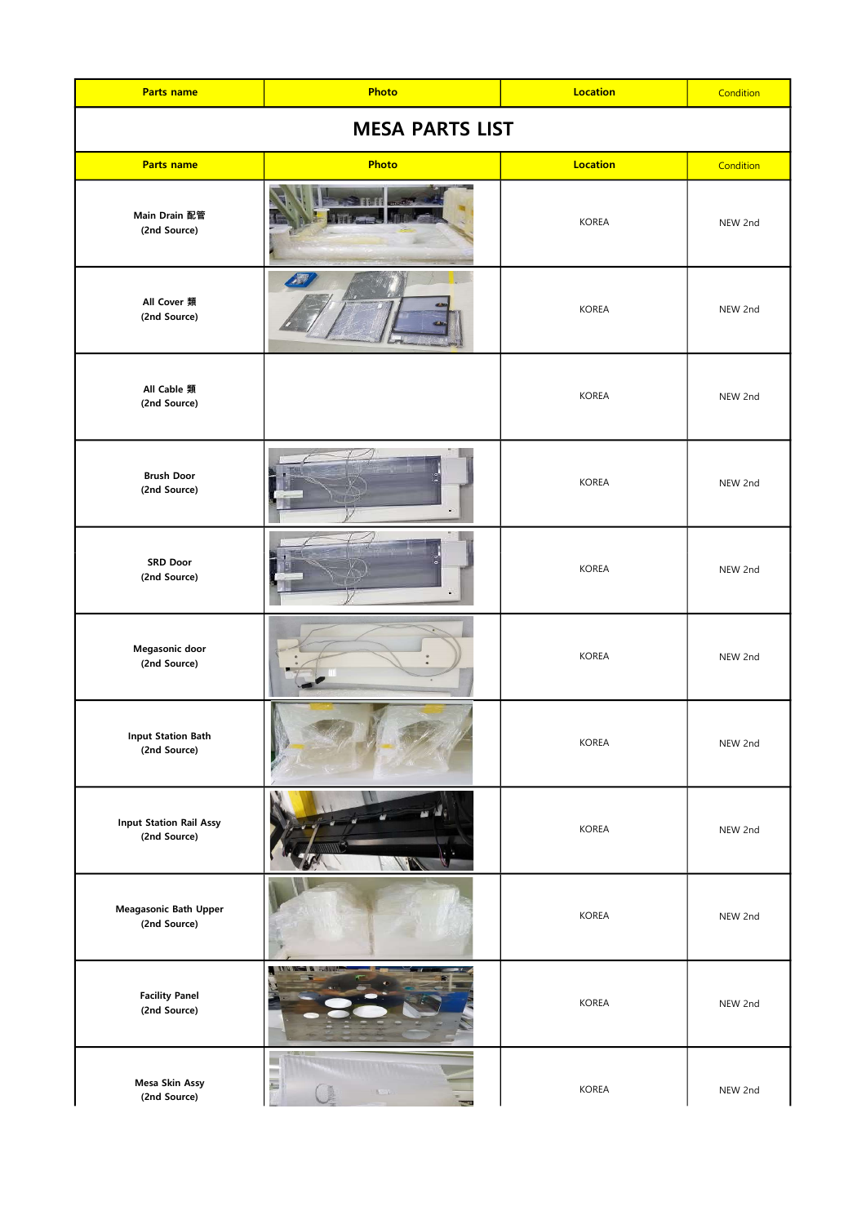| <b>Parts name</b>                              | Photo  | <b>Location</b> | Condition |
|------------------------------------------------|--------|-----------------|-----------|
| <b>MESA PARTS LIST</b>                         |        |                 |           |
| <b>Parts name</b>                              | Photo  | <b>Location</b> | Condition |
| Main Drain 配管<br>(2nd Source)                  |        | <b>KOREA</b>    | NEW 2nd   |
| All Cover 類<br>(2nd Source)                    |        | <b>KOREA</b>    | NEW 2nd   |
| All Cable 類<br>(2nd Source)                    |        | <b>KOREA</b>    | NEW 2nd   |
| <b>Brush Door</b><br>(2nd Source)              |        | <b>KOREA</b>    | NEW 2nd   |
| <b>SRD Door</b><br>(2nd Source)                |        | <b>KOREA</b>    | NEW 2nd   |
| Megasonic door<br>(2nd Source)                 |        | <b>KOREA</b>    | NEW 2nd   |
| <b>Input Station Bath</b><br>(2nd Source)      |        | KOREA           | NEW 2nd   |
| <b>Input Station Rail Assy</b><br>(2nd Source) |        | KOREA           | NEW 2nd   |
| Meagasonic Bath Upper<br>(2nd Source)          |        | KOREA           | NEW 2nd   |
| <b>Facility Panel</b><br>(2nd Source)          | والمرد | KOREA           | NEW 2nd   |
| Mesa Skin Assy<br>(2nd Source)                 | ł.     | KOREA           | NEW 2nd   |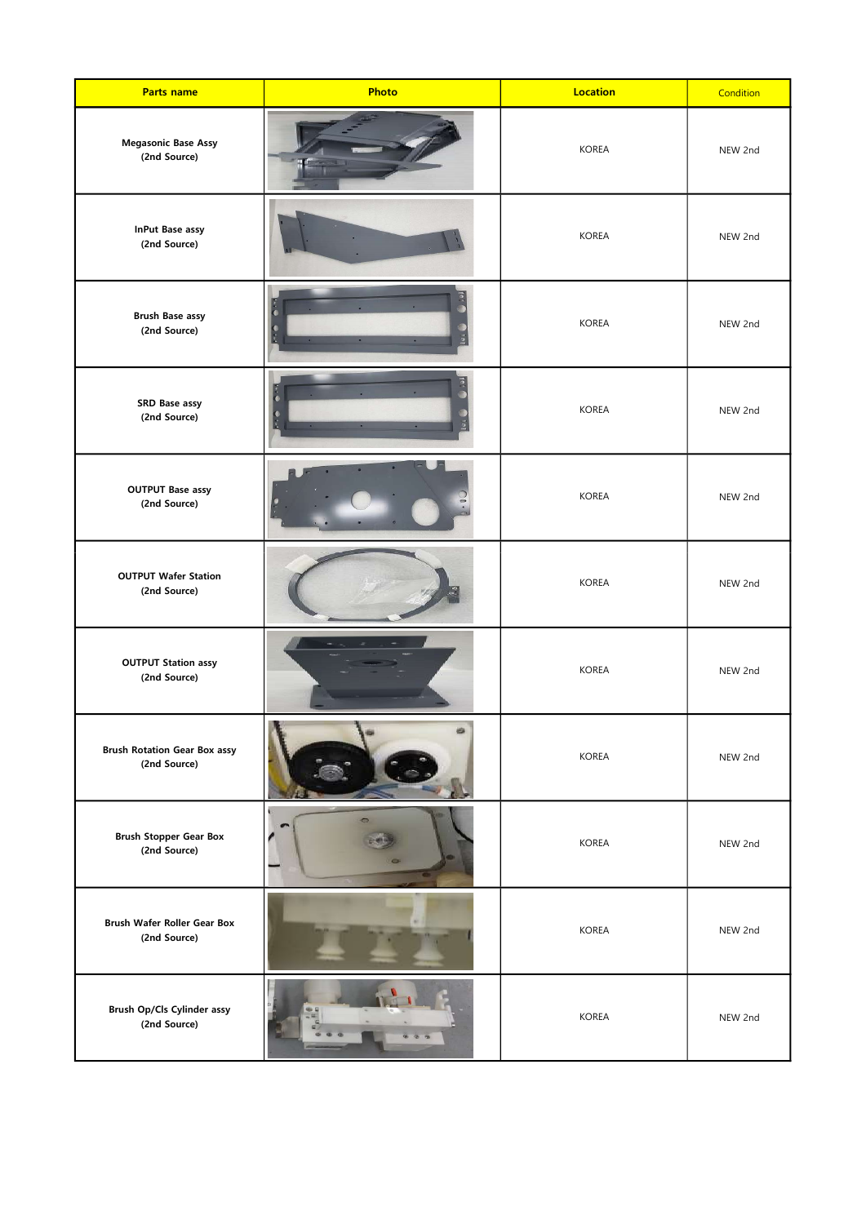| <b>Parts name</b>                                   | Photo                | <b>Location</b> | Condition |
|-----------------------------------------------------|----------------------|-----------------|-----------|
| <b>Megasonic Base Assy</b><br>(2nd Source)          |                      | <b>KOREA</b>    | NEW 2nd   |
| <b>InPut Base assy</b><br>(2nd Source)              |                      | <b>KOREA</b>    | NEW 2nd   |
| <b>Brush Base assy</b><br>(2nd Source)              | $\frac{1}{2}$<br>io. | <b>KOREA</b>    | NEW 2nd   |
| SRD Base assy<br>(2nd Source)                       | $\frac{1}{2}$        | <b>KOREA</b>    | NEW 2nd   |
| <b>OUTPUT Base assy</b><br>(2nd Source)             |                      | <b>KOREA</b>    | NEW 2nd   |
| <b>OUTPUT Wafer Station</b><br>(2nd Source)         |                      | <b>KOREA</b>    | NEW 2nd   |
| <b>OUTPUT Station assy</b><br>(2nd Source)          |                      | <b>KOREA</b>    | NEW 2nd   |
| <b>Brush Rotation Gear Box assy</b><br>(2nd Source) | ĸ                    | <b>KOREA</b>    | NEW 2nd   |
| <b>Brush Stopper Gear Box</b><br>(2nd Source)       |                      | <b>KOREA</b>    | NEW 2nd   |
| <b>Brush Wafer Roller Gear Box</b><br>(2nd Source)  |                      | <b>KOREA</b>    | NEW 2nd   |
| Brush Op/Cls Cylinder assy<br>(2nd Source)          |                      | <b>KOREA</b>    | NEW 2nd   |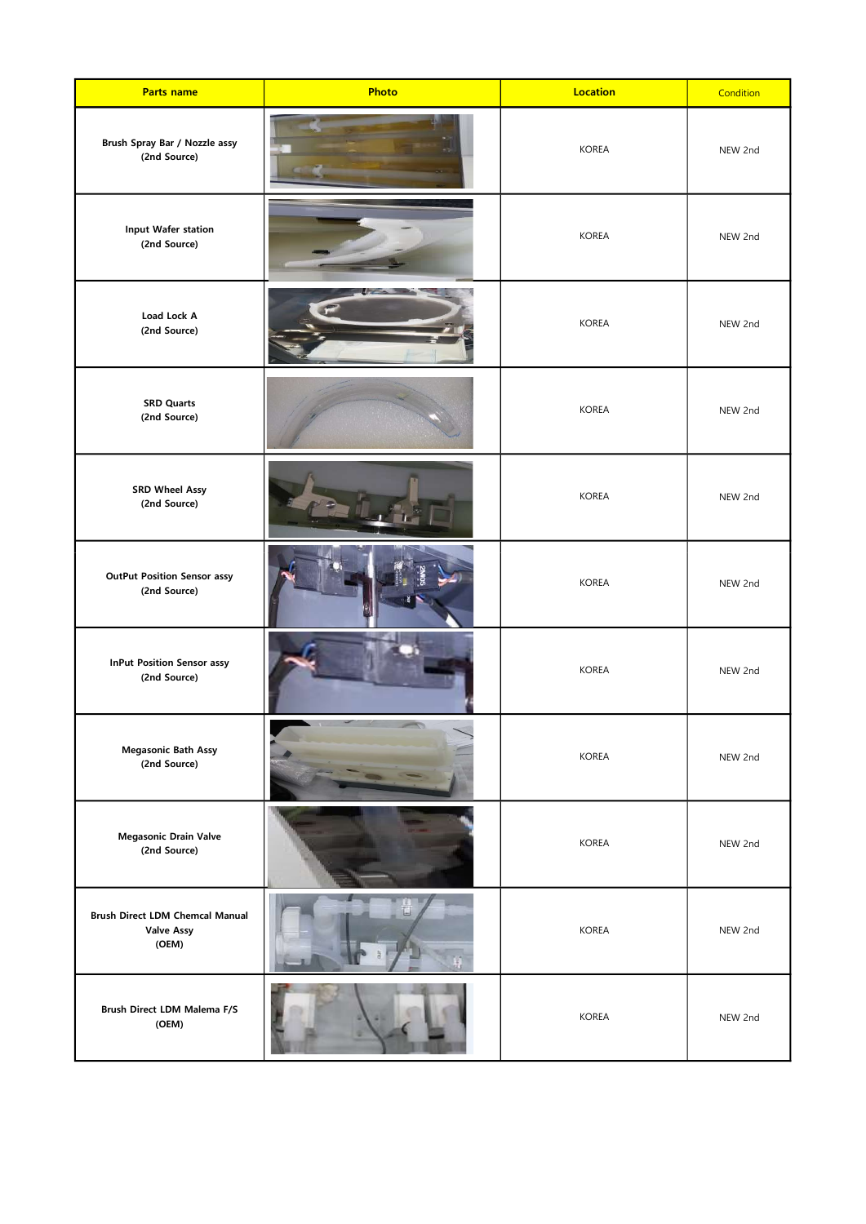| <b>Parts name</b>                                                    | Photo | <b>Location</b> | Condition |
|----------------------------------------------------------------------|-------|-----------------|-----------|
| Brush Spray Bar / Nozzle assy<br>(2nd Source)                        |       | <b>KOREA</b>    | NEW 2nd   |
| Input Wafer station<br>(2nd Source)                                  |       | <b>KOREA</b>    | NEW 2nd   |
| Load Lock A<br>(2nd Source)                                          |       | <b>KOREA</b>    | NEW 2nd   |
| <b>SRD Quarts</b><br>(2nd Source)                                    |       | <b>KOREA</b>    | NEW 2nd   |
| <b>SRD Wheel Assy</b><br>(2nd Source)                                |       | <b>KOREA</b>    | NEW 2nd   |
| <b>OutPut Position Sensor assy</b><br>(2nd Source)                   |       | <b>KOREA</b>    | NEW 2nd   |
| <b>InPut Position Sensor assy</b><br>(2nd Source)                    |       | <b>KOREA</b>    | NEW 2nd   |
| <b>Megasonic Bath Assy</b><br>(2nd Source)                           |       | <b>KOREA</b>    | NEW 2nd   |
| <b>Megasonic Drain Valve</b><br>(2nd Source)                         |       | <b>KOREA</b>    | NEW 2nd   |
| <b>Brush Direct LDM Chemcal Manual</b><br><b>Valve Assy</b><br>(OEM) |       | <b>KOREA</b>    | NEW 2nd   |
| Brush Direct LDM Malema F/S<br>(OEM)                                 |       | <b>KOREA</b>    | NEW 2nd   |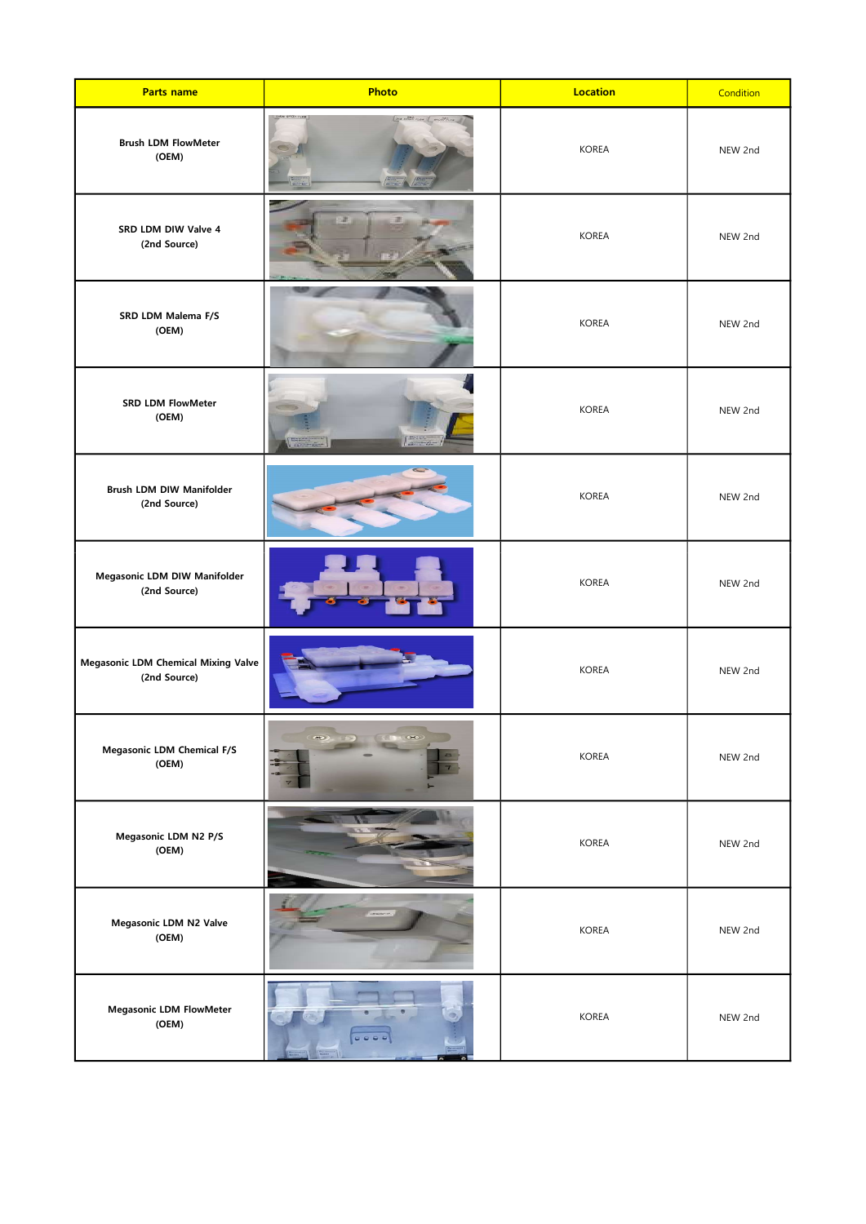| <b>Parts name</b>                                          | Photo | <b>Location</b> | Condition |
|------------------------------------------------------------|-------|-----------------|-----------|
| <b>Brush LDM FlowMeter</b><br>(OEM)                        |       | <b>KOREA</b>    | NEW 2nd   |
| SRD LDM DIW Valve 4<br>(2nd Source)                        | z     | <b>KOREA</b>    | NEW 2nd   |
| SRD LDM Malema F/S<br>(OEM)                                |       | <b>KOREA</b>    | NEW 2nd   |
| <b>SRD LDM FlowMeter</b><br>(OEM)                          |       | <b>KOREA</b>    | NEW 2nd   |
| <b>Brush LDM DIW Manifolder</b><br>(2nd Source)            |       | <b>KOREA</b>    | NEW 2nd   |
| Megasonic LDM DIW Manifolder<br>(2nd Source)               |       | <b>KOREA</b>    | NEW 2nd   |
| <b>Megasonic LDM Chemical Mixing Valve</b><br>(2nd Source) |       | <b>KOREA</b>    | NEW 2nd   |
| <b>Megasonic LDM Chemical F/S</b><br>(OEM)                 |       | <b>KOREA</b>    | NEW 2nd   |
| Megasonic LDM N2 P/S<br>(OEM)                              |       | <b>KOREA</b>    | NEW 2nd   |
| Megasonic LDM N2 Valve<br>(OEM)                            |       | <b>KOREA</b>    | NEW 2nd   |
| <b>Megasonic LDM FlowMeter</b><br>(OEM)                    |       | <b>KOREA</b>    | NEW 2nd   |